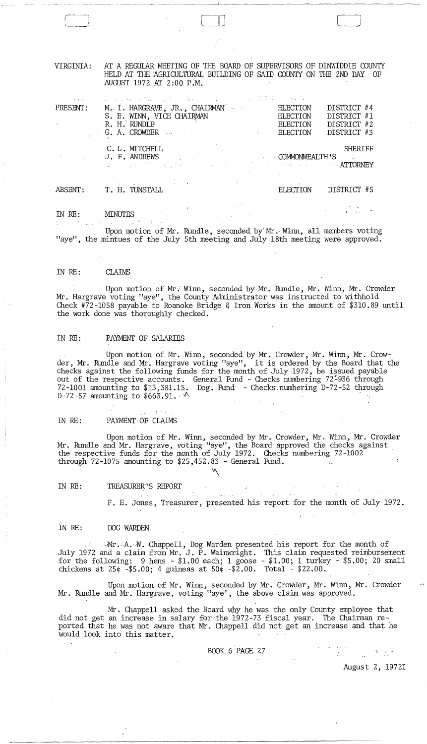VIRGINIA: AT A REGULAR MEETING OF THE BOARD OF SUPERVISORS OF DINWIDDIE COUNTY HELD AT THE AGRICULTURAL BUILDING OF SAID COUNTY ON THE 2ND DAY OF AUGUST 1972 AT 2:00 P.M.

 $\Box$ 

--.---.--~ --------------"--~-~------~~-~-~--~----

| $\sim 1.2221$         | and a series of the control of the control of the control of the control of the control of the control of the                                                                                                                                                |                 |                                                                                       |
|-----------------------|--------------------------------------------------------------------------------------------------------------------------------------------------------------------------------------------------------------------------------------------------------------|-----------------|---------------------------------------------------------------------------------------|
| PRESENT:              | M. I. HARGRAVE, JR., CHAIRMAN                                                                                                                                                                                                                                | ELECTION        | DISTRICT #4                                                                           |
|                       | S. E. WINN, VICE CHAIRMAN                                                                                                                                                                                                                                    | <b>ELECTION</b> | DISTRICT #1                                                                           |
| $\gamma_k$ . $\gamma$ | R. H. RUNDLE                                                                                                                                                                                                                                                 | <b>ELECTION</b> | DISTRICT #2                                                                           |
|                       | <b>G. A. CROWDER Example 2018 CROWDER</b>                                                                                                                                                                                                                    | ELECTION        | DISTRICT #3                                                                           |
|                       | C.L.MITCHELL                                                                                                                                                                                                                                                 |                 | <b>SHERIFF</b>                                                                        |
|                       | <b>EXECUTE: ANDREWS COMMONWEALTH'S</b>                                                                                                                                                                                                                       |                 | $\mathcal{L}^{\text{max}}(\mathcal{L}^{\text{max}})$ . The $\mathcal{L}^{\text{max}}$ |
|                       | and the contract of the contract of the contract of the contract of the contract of the ATTORNEY                                                                                                                                                             |                 |                                                                                       |
|                       | $\mathcal{L}_{\mathcal{A}}$ and $\mathcal{L}_{\mathcal{A}}$ are the set of $\mathcal{A}$ . The set of the set of the set of the set of the set of the set of the set of the set of the set of the set of the set of the set of the set of the set of the set |                 |                                                                                       |
| ABSENT:               | T. H. TUNSTALL                                                                                                                                                                                                                                               | ELECTION        | DISTRICT #5                                                                           |
|                       |                                                                                                                                                                                                                                                              |                 |                                                                                       |

IN RE: MINUTES

Upon motion of Mr. Rundle, seconded by Mr. Winn, all members voting "aye", the mintues of the July 5th meeting and July 18th meeting were approved.

IN RE: CLAIMS

Upon motion of Mr.: Winn, seconded by-Mr. Rundle, Mr. Winn, Mr. Crowder Mr. Hargrave voting "aye", the County Administrator was instructed to withhold Check #72-1058 payable to Roanoke Bridge & Iron Works in the amount of \$310.89 until the work done was thoroughly checked.

# IN RE: PAYMENT OF SALARIES

Upon motion of Mr. Winn, seconded by Mr. Crowder, Mr. Winn, Mr. Crowder, Mr. Rundle and Mr. Hargrave voting "aye", it is ordered by the Board that the checks against the following funds for the month of July 1972, be issued payable out of the respective accounts. General Fund - Checks numbering 72:936 through 72-1001 amounting to \$13,381.15. Dog. Fund - Checks-numbering D-72-52 through D-72-57 amounting to  $$663.91.$   $\sim$ 

IN RE: PAYMENT OF CLAIMS

 $\omega \approx -1.8 \pi m_{\odot}$ 

Upon motion of Mr. Winn, seconded by Mr. Crowder, Mr. Winn, Mr. Crowder Mr. Rundle and Mr. Hargrave, voting "aye", the Board approved the checks against the respective funds for the month of July 1972. Checks numbering 72-1002 through 72-1075 amounting to \$25,452.83 - General Fund.

 $\sqrt{ }$ 

 $\sim 10^5$  and  $\sim 10^5$  . The mass is  $10^5$ 

IN RE: TREASURER'S REPORT

F. E. Jones, Treasurer, presented his report for the month of July 1972.

IN RE: DOG WARDEN

 $11.22 - 2.1$ 

Mr. A. W. Chappell, Dog Warden presented his report for the month of July 1972 and a claim from Mr. J. P. Wainwright. This claim requested reimbursement for the following: 9 hens - \$1.00 each; 1 goose - \$1.00; 1 turkey - \$5.00; 20 small chickens at 25¢ -\$5.00; 4 guineas at 50¢ -\$2.00. Total - \$22.00.

Upon motion of Mr. Winn, seconded by Mr. Crowder, Mr. Winn, Mr. Crowder Mr. Rundle and Mr. Hargrave, voting "aye', the above claim was approved.

Mr. Chappell asked the Board why he was the only County employee that did not get an increase in salary for the 1972-73 fiscal year. The Chairman reported that he was not aware that Mr. Chappell did not get an increase and that he would look into this matter.

BOOK 6 PAGE 27

August 2, 19721

 $\frac{1}{2\pi}\sum_{k=0}^{2\pi} \frac{1}{k} \sum_{k=0}^{2\pi} \frac{1}{k} \sum_{k=0}^{2\pi} \frac{1}{k} \sum_{k=0}^{2\pi} \frac{1}{k} \sum_{k=0}^{2\pi} \frac{1}{k} \sum_{k=0}^{2\pi} \frac{1}{k} \sum_{k=0}^{2\pi} \frac{1}{k} \sum_{k=0}^{2\pi} \frac{1}{k} \sum_{k=0}^{2\pi} \frac{1}{k} \sum_{k=0}^{2\pi} \frac{1}{k} \sum_{k=0}^{2\pi} \frac{1}{k} \sum_{$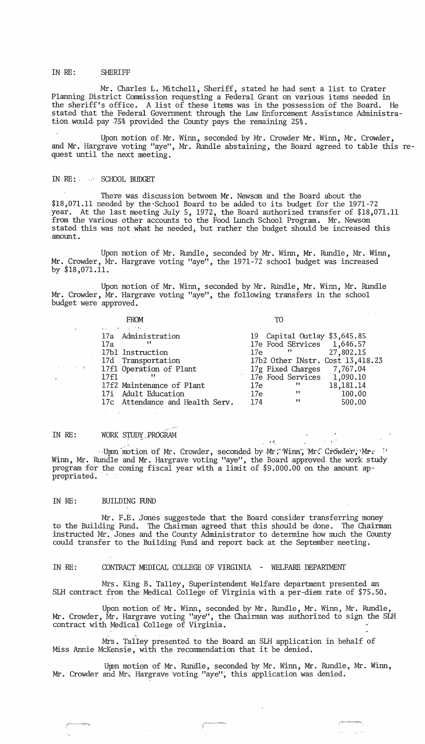#### IN RE: SHERIFF

Mr. Charles L. Mitchell, Sheriff, stated he had sent a list to Crater Planning District Commission requesting a Federal Grant on various items needed in the sheriff's office. A list of these items was in the possession of the Board. He stated that the Federal Government through the Law Enforcement Assistance Administration would pay 75% provided the County pays the remaining 25%.

lipan motion of, Mr. Winn, seconded by Mr. Crowder Mr. Winn, Mr. Crowder, and Mr. Hargrave voting "aye", Mr. Rundle abstaining, the Board agreed to table this request until the next meeting.

## IN-RE: SCHOOL BUDGET

There was discussion between Mr. Newsom and the Board about the \$18,071.11 needed by the"School Board to be added to its budget for the 1971-72 year. At the last meeting July 5, 1972, the Board authorized transfer of \$18,071.11 from the various other accounts to the Food Lunch School Program. Mr. Newsom stated this was not what he needed, but rather the budget should be increased this amount.

Upon motion of Mr. Rundle, seconded by Mr. Winn, Mr. Rundle, Mr. Winn, Mr. Crowder, Mr. Hargrave voting "aye", the 1971-72 school budget was increased by \$18,071.11.

. Upon motion of Mr. Winn, seconded by Mr. RUndle, Mr. Winn, Mr. Rundle Mr. Crowder, Mr. Hargrave voting "aye", the following transfers in the school budget were approved.

| <b>FROM</b>                     | TO                               |
|---------------------------------|----------------------------------|
| and the most of the country     |                                  |
| 17a Administration              | 19 Capital Outlay \$3,645.85     |
| 17a                             | 17e Food SErvices 1,646.57       |
| 17b1 Instruction                | 27,802.15<br>17e "               |
| 17d Transportation              | 17b2 Other INstr. Cost 13,418.23 |
| 17f1 Operation of Plant         | 17g Fixed Charges 7,767.04       |
| 17f1<br>11                      | 17e Food Services 1,090.10       |
| 17f2 Maintenance of Plant       | 18,181.14<br>$\mathbf{H}$<br>17e |
| 17i Adult Education             | 100.00<br>$\sim 100$<br>17e      |
| 17c Attendance and Health Serv. | 11<br>174<br>500.00              |
|                                 |                                  |

*, c* 

#### IN RE: ." WORK STUDY PROGRAM

 $\sim$ Upon motion of Mr. Crowder, seconded by Mr. Winn, Mr. Crowder; Mr.  $\sim$ Winn, Mr. Rundle and Mr. Hargrave voting "aye", the Board approved the work study program for the coming fiscal year with a limit of  $$9.000.00$  on the amount appropriated.

#### IN RE: BUILDING RIND

Mr. F.E. Jones suggestede that the Board consider transferring money to the Building Fund. The Chairman agreed that this should be done. The Chairman instructed Mr. Jones and the County Administrator to determine how much the County could transfer to the Building Fund and report back at the September meeting.

# IN RE: CONTRACT MEDICAL COLLEGE OF VIRGINIA - WELFARE DEPARTMENT

Mrs. King B. Talley, Superintendent Welfare department presented an SLH contract from the Medical College of Virginia with a per-diem rate of \$75.50.

Upon motion of Mr. Winn, seconded by Mr. Rundle, Mr. Winn, Mr. Rundle, Mr. Crowder,  $\tilde{M}$ r. Hargrave voting "aye", the Chairman was authorized to sign the SLH contract with Medical College of Virginia.

Mrs. Talley presented to the Board an SLH application in behalf of Miss Annie McKensie, with the recommendation that it be denied.

Upon motion of Mr. Rundle, seconded by Mr. Winn, Mr. Rundle, Mr. Winn, Mr. Crowder and Mr. Hargrave voting "aye", this application was denied.

,c---.~~ I--~ J-~'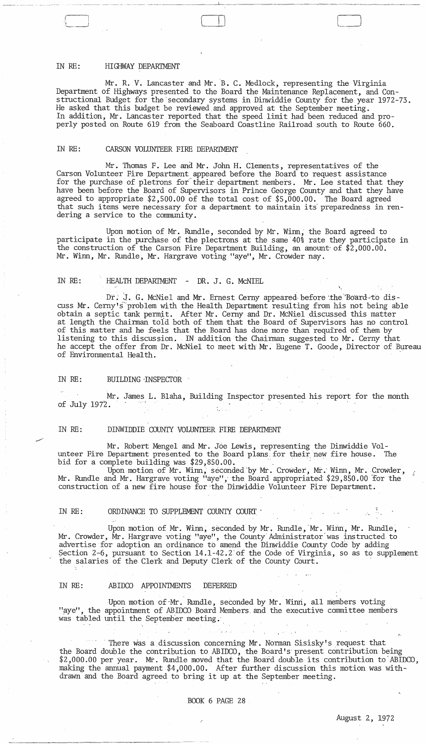# IN RE: HIGHWAY DEPARTMENT

Mr. R. V. Lancaster and Mr. B. C. Medlock, representing the Virginia Department of Highways presented to the Board the Maintenance Replacement, and Constructional Budget for the secondary systems in Dinwiddie County for the year 1972-73. He asked that this budget be reviewed. and approved at the September meeting. In addition, Mr. Lancaster reported that the speed limit had been reduced and properly posted on Route 619 from the Seaboard Coastline Railroad south to Route 660.

~~----~-- -- --'- .~-~~~~--- ~~~.-~~-----------"-------------~~---~~--

#### IN RE: CARSON VOLUNTEER FIRE DEPARTMENT

Mr. Thomas F. Lee and Mr. John H. Clements, representatives of the Carson Volunteer Fire Department appeared before the Board to request assistance for the purchase of pletrons for their department members. Mr. Lee stated that they have been before the Board of Supervisors in Prince George County and that they have agreed to appropriate  $$2,500.00$  of the total cost of  $$5,000.00$ . The Board agreed that such items were necessary for a department to maintain its preparedness in rendering a service to the community.

Upon motion of Mr. Rundle, seconded by Mr. Winn, the Board agreed to participate in the purchase of the plectrons at the same 40% rate they participate in the construction of the Carson Fire Department Building, an amount' of \$2,000.00. Mr. Winn, Mr. Rundle, Mr. Hargrave voting "aye", Mr. Crowder nay.

#### IN RE: HEALTH DEPARTMENT - DR. J. G. MCNIEL

Dr. J. G. McNiel and Mr. Ernest Cerny appeared before the Board to discuss Mr. Cerny's"problem with the Health Department reSUlting from his not being able obtain a septic tank permj. t. After Mr. Cerny and Dr. McNiel discussed this matter at length the Chairman toid both of them that the Board of Supervisors has no control of this matter and he feels that the Board has done more than required of them by listening to this discussion. IN addition the Chairman suggested to Mr. Cerny that he accept the offer from Dr. McNiel to meet with Mr. Eugene T. Goode, Director of Bureau of Environmental Health. .

### IN RE: BUILDING INSPECTOR

Mr. James L. Blaha, Building Inspector presented his report for the month **of July 197'2.** '.'.

# IN RE: DINWIDDIE COUNTY VOLUNTEER FIRE DEPARTMENT

Mr. Robert Mengel and Mr. Joe Lewis, representing the Dinwiddie Volunteer Fire Department presented to the Board plans for their new fire house. The bid for a complete building was \$29,850.00. bid for a complete building was \$29,850.00.<br>Upon motion of Mr. Winn, seconded by Mr. Crowder, Mr. Winn, Mr. Crowder, Winn, Mr. Crowder, Mr. Winn, Mr. Crowder, Mr. Winn, Mr. Crowder, Mr. Winn, Mr. Crowder, Mr. Winn, Mr. Cro

Mr. Rundle and Mr. Hargrave voting "aye", the Board appropriated \$29,850.00 for the construction of a new fire house for the Dinwiddie Volunteer Fire Department.

#### IN RE: ORDINANCE TO SUPPLEMENT COUNTY COURT -

Upon motion of Mr. Winn, seconded by Mr. Rundle, Mr. Winn, Mr. Rundle, Mr. Crowder,  $\rm \tilde{M}$ . Hargrave voting "aye", the County Administrator was instructed to advertise for adoption an ordinance *tb* amend the Dinwiddie County Code by adding Section 2-6, pursuant to Section l4.l-42.2'of the Code of Virginia, so as to supplement the salaries of the Clerk and Deputy Clerk of the County Court.

#### IN RE: ABIDCO APPOINTMENTS DEFERRED

Upon motion of Mr. Rundle, seconded by Mr. Winn, all members voting "aye", the appointment of ABIDCO Board Members and the executive committee members was tabled until the September meeting.

There was a discussion concerning Mr. Norman Sisisky's request that the Board double the contribution to ABIDCO, the Board's' present contribution being \$2,000.00 per year. Mr. Rundle moved that the Board double its contribution to ABIDCO, making the annual payment \$4,000.00. After further discussion this motion was withdrawn and the Board agreed to bring it up at the September meeting.